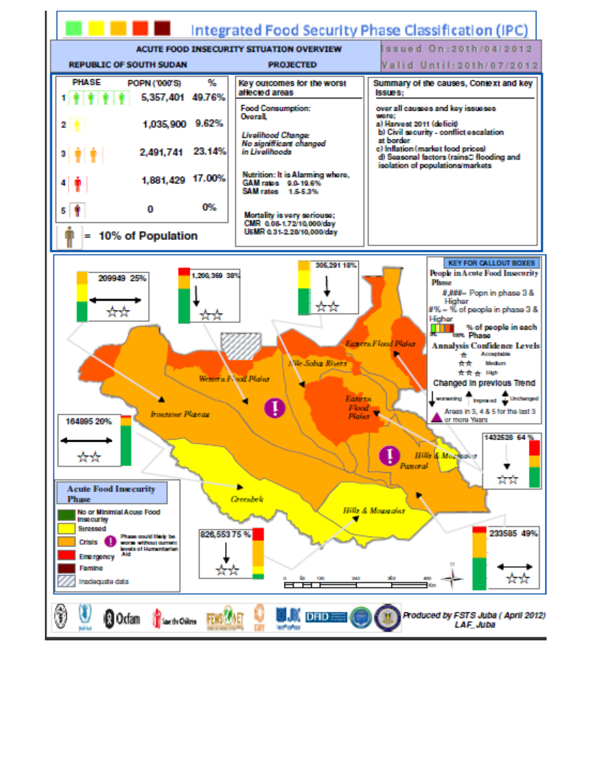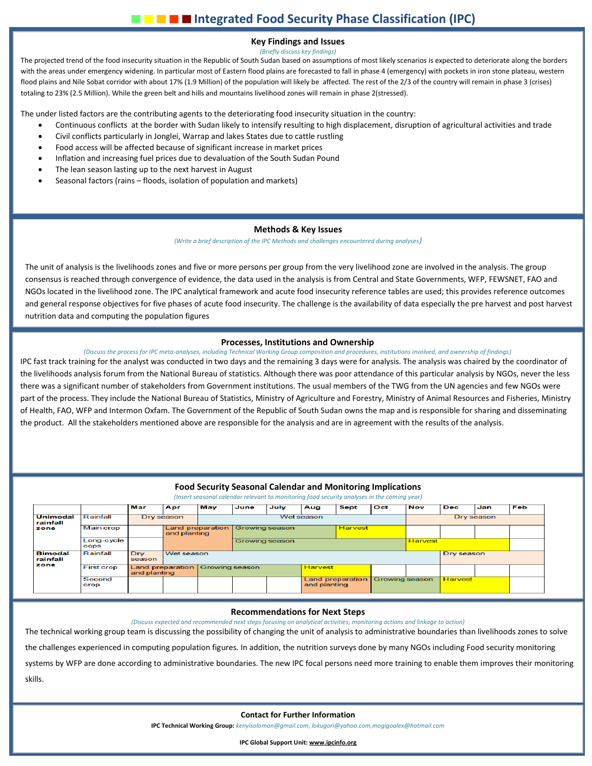# **Key Findings and Issues**

*(Briefly discuss key findings)*

The projected trend of the food insecurity situation in the Republic of South Sudan based on assumptions of most likely scenarios is expected to deteriorate along the borders with the areas under emergency widening. In particular most of Eastern flood plains are forecasted to fall in phase 4 (emergency) with pockets in iron stone plateau, western flood plains and Nile Sobat corridor with about 17% (1.9 Million) of the population will likely be affected. The rest of the 2/3 of the country will remain in phase 3 (crises) totaling to 23% (2.5 Million). While the green belt and hills and mountains livelihood zones will remain in phase 2(stressed).

The under listed factors are the contributing agents to the deteriorating food insecurity situation in the country:

- Continuous conflicts at the border with Sudan likely to intensify resulting to high displacement, disruption of agricultural activities and trade
- Civil conflicts particularly in Jonglei, Warrap and lakes States due to cattle rustling
- Food access will be affected because of significant increase in market prices
- Inflation and increasing fuel prices due to devaluation of the South Sudan Pound
- The lean season lasting up to the next harvest in August
- Seasonal factors (rains floods, isolation of population and markets)

## **Methods & Key Issues**

*(Write a brief description of the IPC Methods and challenges encountered during analyses)*

The unit of analysis is the livelihoods zones and five or more persons per group from the very livelihood zone are involved in the analysis. The group consensus is reached through convergence of evidence, the data used in the analysis is from Central and State Governments, WFP, FEWSNET, FAO and NGOs located in the livelihood zone. The IPC analytical framework and acute food insecurity reference tables are used; this provides reference outcomes and general response objectives for five phases of acute food insecurity. The challenge is the availability of data especially the pre harvest and post harvest nutrition data and computing the population figures

# **Processes, Institutions and Ownership**

*(Discuss the process for IPC meta-analyses, including Technical Working Group composition and procedures, institutions involved, and ownership of findings)* IPC fast track training for the analyst was conducted in two days and the remaining 3 days were for analysis. The analysis was chaired by the coordinator of

the livelihoods analysis forum from the National Bureau of statistics. Although there was poor attendance of this particular analysis by NGOs, never the less there was a significant number of stakeholders from Government institutions. The usual members of the TWG from the UN agencies and few NGOs were part of the process. They include the National Bureau of Statistics, Ministry of Agriculture and Forestry, Ministry of Animal Resources and Fisheries, Ministry of Health, FAO, WFP and Intermon Oxfam. The Government of the Republic of South Sudan owns the map and is responsible for sharing and disseminating the product. All the stakeholders mentioned above are responsible for the analysis and are in agreement with the results of the analysis.

## **Food Security Seasonal Calendar and Monitoring Implications**

|                                     |                    | Mar                  | Apr              | May              | June                  | July | Aug                                     | <b>Sept</b>    | Oct                   | <b>Nov</b>     | <b>Dec</b>     | Jan        | Feb |  |  |
|-------------------------------------|--------------------|----------------------|------------------|------------------|-----------------------|------|-----------------------------------------|----------------|-----------------------|----------------|----------------|------------|-----|--|--|
| <b>Unimodal</b><br>rainfall<br>zone | Rainfall           |                      | Dry season       |                  | Wet season            |      |                                         |                |                       |                | Dry season     |            |     |  |  |
|                                     | Main crop          |                      | and planting     | Land preparation | <b>Growing season</b> |      |                                         | <b>Harvest</b> |                       |                |                |            |     |  |  |
|                                     | Long-cycle<br>cops |                      |                  |                  | Growing season        |      |                                         |                |                       | <b>Harvest</b> |                |            |     |  |  |
| <b>Bimodal</b><br>rainfall<br>zone  | Rainfall           | <b>Drv</b><br>season |                  | Wet season       |                       |      |                                         |                |                       |                |                | Dry season |     |  |  |
|                                     | <b>First crop</b>  | and planting         | Land preparation | Growing season   |                       |      | <b>Harvest</b>                          |                |                       |                |                |            |     |  |  |
|                                     | Second<br>crop     |                      |                  |                  |                       |      | <b>Land preparation</b><br>and planting |                | <b>Growing season</b> |                | <b>Harvest</b> |            |     |  |  |

#### **Recommendations for Next Steps**

*(Discuss expected and recommended next steps focusing on analytical activities, monitoring actions and linkage to action)*

The technical working group team is discussing the possibility of changing the unit of analysis to administrative boundaries than livelihoods zones to solve

the challenges experienced in computing population figures. In addition, the nutrition surveys done by many NGOs including Food security monitoring

systems by WFP are done according to administrative boundaries. The new IPC focal persons need more training to enable them improves their monitoring skills.

#### **Contact for Further Information**

**IPC Technical Working Group:** *kenyisolomon@gmail.com, lokugori@yahoo.com,mogigoalex@hotmail.com*

**IPC Global Support Unit[: www.ipcinfo.org](http://www.ipcinfo.org/)**